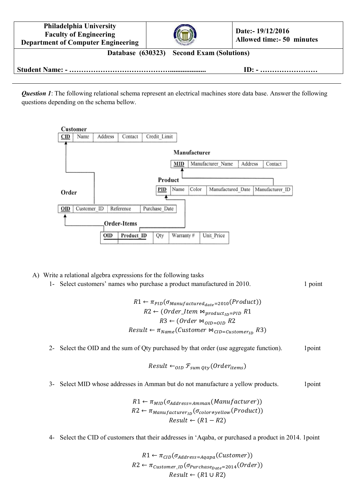| <b>Philadelphia University</b><br><b>Faculty of Engineering</b><br><b>Department of Computer Engineering</b> |  |  | Date:-19/12/2016<br><b>Allowed time:- 50 minutes</b>    |  |  |
|--------------------------------------------------------------------------------------------------------------|--|--|---------------------------------------------------------|--|--|
| Database (630323) Second Exam (Solutions)                                                                    |  |  |                                                         |  |  |
|                                                                                                              |  |  | $ID: - \dots \dots \dots \dots \dots \dots \dots \dots$ |  |  |

*Question 1*: The following relational schema represent an electrical machines store data base. Answer the following questions depending on the schema bellow.



A) Write a relational algebra expressions for the following tasks

1- Select customers' names who purchase a product manufactured in 2010. 1 point

 $R1 \leftarrow \pi_{PID}(\sigma_{Mannifactured_{date}=2010}(Product))$  $R2 \leftarrow (Order\_Item \Join_{product_{ID}=PID} R1)$  $R3 \leftarrow (Order \bowtie_{OID=OID} R2)$  $Result \leftarrow \pi_{Name}(Customer \Join_{CID=Customer_{ID}} R3)$ 

2- Select the OID and the sum of Qty purchased by that order (use aggregate function). 1 point

$$
Result \leftarrow_{OID} \mathcal{F}_{sum\ Qty}(Order_{items})
$$

3- Select MID whose addresses in Amman but do not manufacture a yellow products. 1point

 $R1 \leftarrow \pi_{MID}(\sigma_{Address=Amman}(Manufacturer))$  $R2 \leftarrow \pi_{Mannifacturer_{ID}}(\sigma_{color \neq yellow}(Product))$  $Result \leftarrow (R1 - R2)$ 

4- Select the CID of customers that their addresses in 'Aqaba, or purchased a product in 2014. 1point

 $R1 \leftarrow \pi_{CID}(\sigma_{Address = Aqana}(Customer))$  $R2 \leftarrow \pi_{\text{Customer\_ID}}(\sigma_{\text{Purchase}_{\text{Date}}=2014}(\text{Order}))$  $Result \leftarrow (R1 \cup R2)$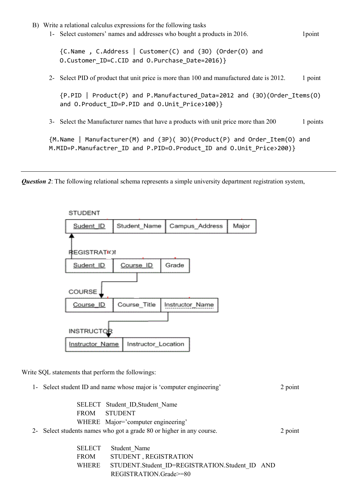B) Write a relational calculus expressions for the following tasks 1- Select customers' names and addresses who bought a products in 2016. 1point {C.Name , C.Address | Customer(C) and (ƎO) (Order(O) and O.Customer ID=C.CID and O.Purchase Date=2016)} 2- Select PID of product that unit price is more than 100 and manufactured date is 2012. 1 point {P.PID | Product(P) and P.Manufactured\_Data=2012 and (ƎO)(Order\_Items(O) and O.Product ID=P.PID and O.Unit Price>100)} 3- Select the Manufacturer names that have a products with unit price more than 200 1 points {M.Name | Manufacturer(M) and (ƎP)( ƎO)(Product(P) and Order\_Item(O) and M.MID=P.Manufactrer\_ID and P.PID=O.Product\_ID and O.Unit\_Price>200)}

*Question 2*: The following relational schema represents a simple university department registration system,



Write SQL statements that perform the followings:

| 1- Select student ID and name whose major is 'computer engineering'  |                                                |  |  |  |
|----------------------------------------------------------------------|------------------------------------------------|--|--|--|
|                                                                      |                                                |  |  |  |
|                                                                      | SELECT Student ID, Student Name                |  |  |  |
| <b>FROM</b>                                                          | <b>STUDENT</b>                                 |  |  |  |
| WHERE Major='computer engineering'                                   |                                                |  |  |  |
| 2- Select students names who got a grade 80 or higher in any course. |                                                |  |  |  |
|                                                                      |                                                |  |  |  |
| <b>SELECT</b>                                                        | Student Name                                   |  |  |  |
| <b>FROM</b>                                                          | STUDENT, REGISTRATION                          |  |  |  |
| <b>WHERE</b>                                                         | STUDENT.Student ID=REGISTRATION.Student ID AND |  |  |  |

REGISTRATION.Grade>=80